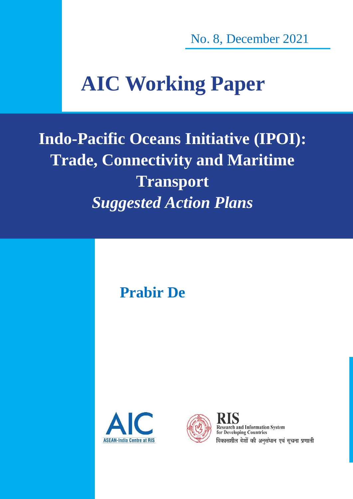No. 8, December 2021

# **AIC Working Paper**

**Indo-Pacific Oceans Initiative (IPOI): Trade, Connectivity and Maritime Transport** *Suggested Action Plans*

**Prabir De**





**Research and Information System** for Developing Countries विकासशील देशों की अनुसंधान एवं सूचना प्रणाली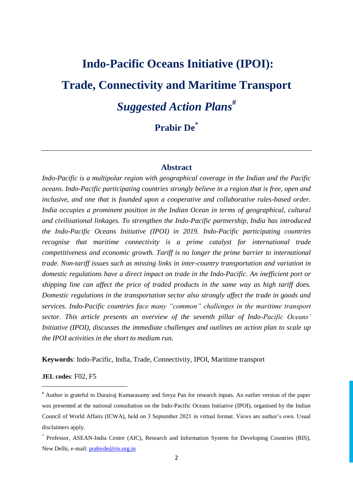# **Indo-Pacific Oceans Initiative (IPOI): Trade, Connectivity and Maritime Transport** *Suggested Action Plans* **# Prabir De\***

# **Abstract**

*Indo-Pacific is a multipolar region with geographical coverage in the Indian and the Pacific oceans. Indo-Pacific participating countries strongly believe in a region that is free, open and inclusive, and one that is founded upon a cooperative and collaborative rules-based order. India occupies a prominent position in the Indian Ocean in terms of geographical, cultural and civilisational linkages. To strengthen the Indo-Pacific partnership, India has introduced the Indo-Pacific Oceans Initiative (IPOI) in 2019. Indo-Pacific participating countries recognise that maritime connectivity is a prime catalyst for international trade competitiveness and economic growth. Tariff is no longer the prime barrier to international trade. Non-tariff issues such as missing links in inter-country transportation and variation in domestic regulations have a direct impact on trade in the Indo-Pacific. An inefficient port or shipping line can affect the price of traded products in the same way as high tariff does. Domestic regulations in the transportation sector also strongly affect the trade in goods and services. Indo-Pacific countries face many "common" challenges in the maritime transport sector. This article presents an overview of the seventh pillar of Indo-Pacific Oceans' Initiative (IPOI), discusses the immediate challenges and outlines an action plan to scale up the IPOI activities in the short to medium run.* 

**Keywords**: Indo-Pacific, India, Trade, Connectivity, IPOI, Maritime transport

#### **JEL codes**: F02, F5

 $\overline{\phantom{a}}$ 

<sup>#</sup> Author is grateful to Durairaj Kumarasamy and Sreya Pan for research inputs. An earlier version of the paper was presented at the national consultation on the Indo-Pacific Oceans Initiative (IPOI), organised by the Indian Council of World Affairs (ICWA), held on 3 September 2021 in virtual format. Views are author's own. Usual disclaimers apply.

<sup>\*</sup> Professor, ASEAN-India Centre (AIC), Research and Information System for Developing Countries (RIS), New Delhi, e-mail: [prabirde@ris.org.in](mailto:prabirde@ris.org.in)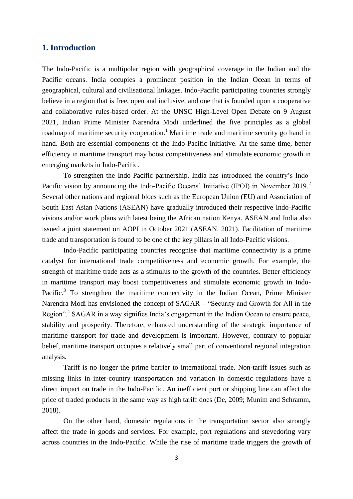# **1. Introduction**

The Indo-Pacific is a multipolar region with geographical coverage in the Indian and the Pacific oceans. India occupies a prominent position in the Indian Ocean in terms of geographical, cultural and civilisational linkages. Indo-Pacific participating countries strongly believe in a region that is free, open and inclusive, and one that is founded upon a cooperative and collaborative rules-based order. At the UNSC High-Level Open Debate on 9 August 2021, Indian Prime Minister Narendra Modi underlined the five principles as a global roadmap of maritime security cooperation.<sup>1</sup> Maritime trade and maritime security go hand in hand. Both are essential components of the Indo-Pacific initiative. At the same time, better efficiency in maritime transport may boost competitiveness and stimulate economic growth in emerging markets in Indo-Pacific.

To strengthen the Indo-Pacific partnership, India has introduced the country's Indo-Pacific vision by announcing the Indo-Pacific Oceans' Initiative (IPOI) in November 2019.<sup>2</sup> Several other nations and regional blocs such as the European Union (EU) and Association of South East Asian Nations (ASEAN) have gradually introduced their respective Indo-Pacific visions and/or work plans with latest being the African nation Kenya. ASEAN and India also issued a joint statement on AOPI in October 2021 (ASEAN, 2021). Facilitation of maritime trade and transportation is found to be one of the key pillars in all Indo-Pacific visions.

Indo-Pacific participating countries recognise that maritime connectivity is a prime catalyst for international trade competitiveness and economic growth. For example, the strength of maritime trade acts as a stimulus to the growth of the countries. Better efficiency in maritime transport may boost competitiveness and stimulate economic growth in Indo-Pacific.<sup>3</sup> To strengthen the maritime connectivity in the Indian Ocean, Prime Minister Narendra Modi has envisioned the concept of SAGAR – "Security and Growth for All in the Region".<sup>4</sup> SAGAR in a way signifies India's engagement in the Indian Ocean to ensure peace, stability and prosperity. Therefore, enhanced understanding of the strategic importance of maritime transport for trade and development is important. However, contrary to popular belief, maritime transport occupies a relatively small part of conventional regional integration analysis.

Tariff is no longer the prime barrier to international trade. Non-tariff issues such as missing links in inter-country transportation and variation in domestic regulations have a direct impact on trade in the Indo-Pacific. An inefficient port or shipping line can affect the price of traded products in the same way as high tariff does (De, 2009; Munim and Schramm, 2018).

On the other hand, domestic regulations in the transportation sector also strongly affect the trade in goods and services. For example, port regulations and stevedoring vary across countries in the Indo-Pacific. While the rise of maritime trade triggers the growth of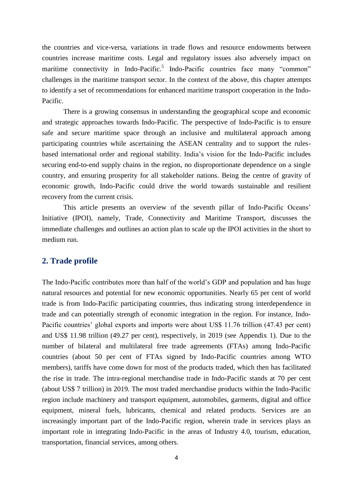the countries and vice-versa, variations in trade flows and resource endowments between countries increase maritime costs. Legal and regulatory issues also adversely impact on maritime connectivity in Indo-Pacific.<sup>5</sup> Indo-Pacific countries face many "common" challenges in the maritime transport sector. In the context of the above, this chapter attempts to identify a set of recommendations for enhanced maritime transport cooperation in the Indo-Pacific.

There is a growing consensus in understanding the geographical scope and economic and strategic approaches towards Indo-Pacific. The perspective of Indo-Pacific is to ensure safe and secure maritime space through an inclusive and multilateral approach among participating countries while ascertaining the ASEAN centrality and to support the rulesbased international order and regional stability. India's vision for the Indo-Pacific includes securing end-to-end supply chains in the region, no disproportionate dependence on a single country, and ensuring prosperity for all stakeholder nations. Being the centre of gravity of economic growth, Indo-Pacific could drive the world towards sustainable and resilient recovery from the current crisis.

This article presents an overview of the seventh pillar of Indo-Pacific Oceans' Initiative (IPOI), namely, Trade, Connectivity and Maritime Transport, discusses the immediate challenges and outlines an action plan to scale up the IPOI activities in the short to medium run.

# **2. Trade profile**

The Indo-Pacific contributes more than half of the world's GDP and population and has huge natural resources and potential for new economic opportunities. Nearly 65 per cent of world trade is from Indo-Pacific participating countries, thus indicating strong interdependence in trade and can potentially strength of economic integration in the region. For instance, Indo-Pacific countries' global exports and imports were about US\$ 11.76 trillion (47.43 per cent) and US\$ 11.98 trillion (49.27 per cent), respectively, in 2019 (see Appendix 1). Due to the number of bilateral and multilateral free trade agreements (FTAs) among Indo-Pacific countries (about 50 per cent of FTAs signed by Indo-Pacific countries among WTO members), tariffs have come down for most of the products traded, which then has facilitated the rise in trade. The intra-regional merchandise trade in Indo-Pacific stands at 70 per cent (about US\$ 7 trillion) in 2019. The most traded merchandise products within the Indo-Pacific region include machinery and transport equipment, automobiles, garments, digital and office equipment, mineral fuels, lubricants, chemical and related products. Services are an increasingly important part of the Indo-Pacific region, wherein trade in services plays an important role in integrating Indo-Pacific in the areas of Industry 4.0, tourism, education, transportation, financial services, among others.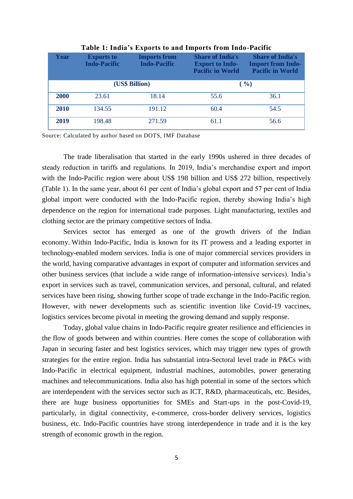| Year        | <b>Exports to</b><br><b>Indo-Pacific</b> | <b>Imports from</b><br><b>Indo-Pacific</b> | <b>Share of India's</b><br><b>Export to Indo-</b><br><b>Pacific in World</b> | <b>Share of India's</b><br><b>Import from Indo-</b><br><b>Pacific in World</b> |  |
|-------------|------------------------------------------|--------------------------------------------|------------------------------------------------------------------------------|--------------------------------------------------------------------------------|--|
|             | (US\$ Billion)                           |                                            | ( %)                                                                         |                                                                                |  |
| <b>2000</b> | 23.61                                    | 18.14                                      | 55.6                                                                         | 36.1                                                                           |  |
| 2010        | 134.55                                   | 191.12                                     | 60.4                                                                         | 54.5                                                                           |  |
| 2019        | 198.48                                   | 271.59                                     | 61.1                                                                         | 56.6                                                                           |  |

**Table 1: India's Exports to and Imports from Indo-Pacific**

Source: Calculated by author based on DOTS, IMF Database

The trade liberalisation that started in the early 1990s ushered in three decades of steady reduction in tariffs and regulations. In 2019, India's merchandise export and import with the Indo-Pacific region were about US\$ 198 billion and US\$ 272 billion, respectively (Table 1). In the same year, about 61 per cent of India's global export and 57 per cent of India global import were conducted with the Indo-Pacific region, thereby showing India's high dependence on the region for international trade purposes. Light manufacturing, textiles and clothing sector are the primary competitive sectors of India.

Services sector has emerged as one of the growth drivers of the Indian economy. Within Indo-Pacific, India is known for its IT prowess and a leading exporter in technology-enabled modern services. India is one of major commercial services providers in the world, having comparative advantages in export of computer and information services and other business services (that include a wide range of information-intensive services). India's export in services such as travel, communication services, and personal, cultural, and related services have been rising, showing further scope of trade exchange in the Indo-Pacific region. However, with newer developments such as scientific invention like Covid-19 vaccines, logistics services become pivotal in meeting the growing demand and supply response.

Today, global value chains in Indo-Pacific require greater resilience and efficiencies in the flow of goods between and within countries. Here comes the scope of collaboration with Japan in securing faster and best logistics services, which may trigger new types of growth strategies for the entire region. India has substantial intra-Sectoral level trade in P&Cs with Indo-Pacific in electrical equipment, industrial machines, automobiles, power generating machines and telecommunications. India also has high potential in some of the sectors which are interdependent with the services sector such as ICT, R&D, pharmaceuticals, etc. Besides, there are huge business opportunities for SMEs and Start-ups in the post-Covid-19, particularly, in digital connectivity, e-commerce, cross-border delivery services, logistics business, etc. Indo-Pacific countries have strong interdependence in trade and it is the key strength of economic growth in the region.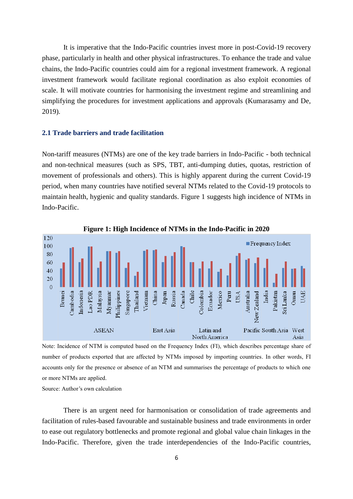It is imperative that the Indo-Pacific countries invest more in post-Covid-19 recovery phase, particularly in health and other physical infrastructures. To enhance the trade and value chains, the Indo-Pacific countries could aim for a regional investment framework. A regional investment framework would facilitate regional coordination as also exploit economies of scale. It will motivate countries for harmonising the investment regime and streamlining and simplifying the procedures for investment applications and approvals (Kumarasamy and De, 2019).

#### **2.1 Trade barriers and trade facilitation**

Non-tariff measures (NTMs) are one of the key trade barriers in Indo-Pacific - both technical and non-technical measures (such as SPS, TBT, anti-dumping duties, quotas, restriction of movement of professionals and others). This is highly apparent during the current Covid-19 period, when many countries have notified several NTMs related to the Covid-19 protocols to maintain health, hygienic and quality standards. Figure 1 suggests high incidence of NTMs in Indo-Pacific.



Note: Incidence of NTM is computed based on the Frequency Index (FI), which describes percentage share of number of products exported that are affected by NTMs imposed by importing countries. In other words, FI accounts only for the presence or absence of an NTM and summarises the percentage of products to which one or more NTMs are applied.

Source: Author's own calculation

There is an urgent need for harmonisation or consolidation of trade agreements and facilitation of rules-based favourable and sustainable business and trade environments in order to ease out regulatory bottlenecks and promote regional and global value chain linkages in the Indo-Pacific. Therefore, given the trade interdependencies of the Indo-Pacific countries,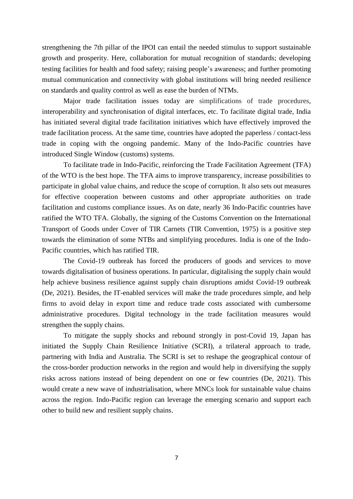strengthening the 7th pillar of the IPOI can entail the needed stimulus to support sustainable growth and prosperity. Here, collaboration for mutual recognition of standards; developing testing facilities for health and food safety; raising people's awareness; and further promoting mutual communication and connectivity with global institutions will bring needed resilience on standards and quality control as well as ease the burden of NTMs.

Major trade facilitation issues today are simplifications of trade procedures, interoperability and synchronisation of digital interfaces, etc. To facilitate digital trade, India has initiated several digital trade facilitation initiatives which have effectively improved the trade facilitation process. At the same time, countries have adopted the paperless / contact-less trade in coping with the ongoing pandemic. Many of the Indo-Pacific countries have introduced Single Window (customs) systems.

To facilitate trade in Indo-Pacific, reinforcing the Trade Facilitation Agreement (TFA) of the WTO is the best hope. The TFA aims to improve transparency, increase possibilities to participate in global value chains, and reduce the scope of corruption. It also sets out measures for effective cooperation between customs and other appropriate authorities on trade facilitation and customs compliance issues. As on date, nearly 36 Indo-Pacific countries have ratified the WTO TFA. Globally, the signing of the Customs Convention on the International Transport of Goods under Cover of TIR Carnets (TIR Convention, 1975) is a positive step towards the elimination of some NTBs and simplifying procedures. India is one of the Indo-Pacific countries, which has ratified TIR.

The Covid-19 outbreak has forced the producers of goods and services to move towards digitalisation of business operations. In particular, digitalising the supply chain would help achieve business resilience against supply chain disruptions amidst Covid-19 outbreak (De, 2021). Besides, the IT-enabled services will make the trade procedures simple, and help firms to avoid delay in export time and reduce trade costs associated with cumbersome administrative procedures. Digital technology in the trade facilitation measures would strengthen the supply chains.

To mitigate the supply shocks and rebound strongly in post-Covid 19, Japan has initiated the Supply Chain Resilience Initiative (SCRI), a trilateral approach to trade, partnering with India and Australia. The SCRI is set to reshape the geographical contour of the cross-border production networks in the region and would help in diversifying the supply risks across nations instead of being dependent on one or few countries (De, 2021). This would create a new wave of industrialisation, where MNCs look for sustainable value chains across the region. Indo-Pacific region can leverage the emerging scenario and support each other to build new and resilient supply chains.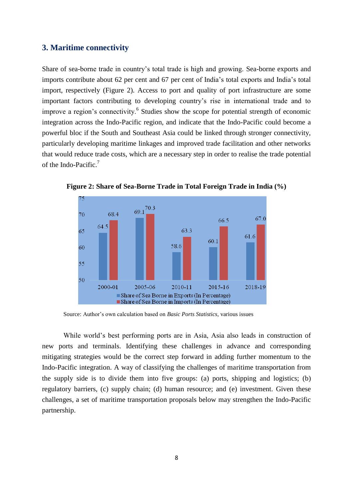# **3. Maritime connectivity**

Share of sea-borne trade in country's total trade is high and growing. Sea-borne exports and imports contribute about 62 per cent and 67 per cent of India's total exports and India's total import, respectively (Figure 2). Access to port and quality of port infrastructure are some important factors contributing to developing country's rise in international trade and to improve a region's connectivity.<sup>6</sup> Studies show the scope for potential strength of economic integration across the Indo-Pacific region, and indicate that the Indo-Pacific could become a powerful bloc if the South and Southeast Asia could be linked through stronger connectivity, particularly developing maritime linkages and improved trade facilitation and other networks that would reduce trade costs, which are a necessary step in order to realise the trade potential of the Indo-Pacific.<sup>7</sup>



**Figure 2: Share of Sea-Borne Trade in Total Foreign Trade in India (%)**

Source: Author's own calculation based on *Basic Ports Statistics*, various issues

While world's best performing ports are in Asia, Asia also leads in construction of new ports and terminals. Identifying these challenges in advance and corresponding mitigating strategies would be the correct step forward in adding further momentum to the Indo-Pacific integration. A way of classifying the challenges of maritime transportation from the supply side is to divide them into five groups: (a) ports, shipping and logistics; (b) regulatory barriers, (c) supply chain; (d) human resource; and (e) investment. Given these challenges, a set of maritime transportation proposals below may strengthen the Indo-Pacific partnership.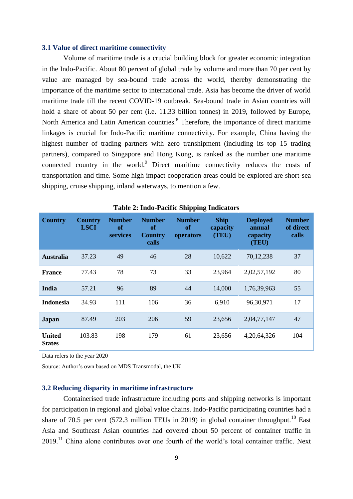#### **3.1 Value of direct maritime connectivity**

Volume of maritime trade is a crucial building block for greater economic integration in the Indo-Pacific. About 80 percent of global trade by volume and more than 70 per cent by value are managed by sea-bound trade across the world, thereby demonstrating the importance of the maritime sector to international trade. Asia has become the driver of world maritime trade till the recent COVID-19 outbreak. Sea-bound trade in Asian countries will hold a share of about 50 per cent (i.e. 11.33 billion tonnes) in 2019, followed by Europe, North America and Latin American countries.<sup>8</sup> Therefore, the importance of direct maritime linkages is crucial for Indo-Pacific maritime connectivity. For example, China having the highest number of trading partners with zero transhipment (including its top 15 trading partners), compared to Singapore and Hong Kong, is ranked as the number one maritime connected country in the world.<sup>9</sup> Direct maritime connectivity reduces the costs of transportation and time. Some high impact cooperation areas could be explored are short-sea shipping, cruise shipping, inland waterways, to mention a few.

| <b>Country</b>                 | <b>Country</b><br><b>LSCI</b> | <b>Number</b><br><b>of</b><br>services | <b>Number</b><br>of<br><b>Country</b><br>calls | <b>Number</b><br><b>of</b><br>operators | <b>Ship</b><br>capacity<br>(TEU) | <b>Deployed</b><br>annual<br>capacity<br>(TEU) | <b>Number</b><br>of direct<br>calls |
|--------------------------------|-------------------------------|----------------------------------------|------------------------------------------------|-----------------------------------------|----------------------------------|------------------------------------------------|-------------------------------------|
| <b>Australia</b>               | 37.23                         | 49                                     | 46                                             | 28                                      | 10,622                           | 70,12,238                                      | 37                                  |
| <b>France</b>                  | 77.43                         | 78                                     | 73                                             | 33                                      | 23,964                           | 2,02,57,192                                    | 80                                  |
| India                          | 57.21                         | 96                                     | 89                                             | 44                                      | 14,000                           | 1,76,39,963                                    | 55                                  |
| <b>Indonesia</b>               | 34.93                         | 111                                    | 106                                            | 36                                      | 6,910                            | 96,30,971                                      | 17                                  |
| Japan                          | 87.49                         | 203                                    | 206                                            | 59                                      | 23,656                           | 2,04,77,147                                    | 47                                  |
| <b>United</b><br><b>States</b> | 103.83                        | 198                                    | 179                                            | 61                                      | 23,656                           | 4, 20, 64, 326                                 | 104                                 |

**Table 2: Indo-Pacific Shipping Indicators**

Data refers to the year 2020

Source: Author's own based on MDS Transmodal, the UK

#### **3.2 Reducing disparity in maritime infrastructure**

Containerised trade infrastructure including ports and shipping networks is important for participation in regional and global value chains. Indo-Pacific participating countries had a share of 70.5 per cent (572.3 million TEUs in 2019) in global container throughput.<sup>10</sup> East Asia and Southeast Asian countries had covered about 50 percent of container traffic in  $2019$ <sup>11</sup> China alone contributes over one fourth of the world's total container traffic. Next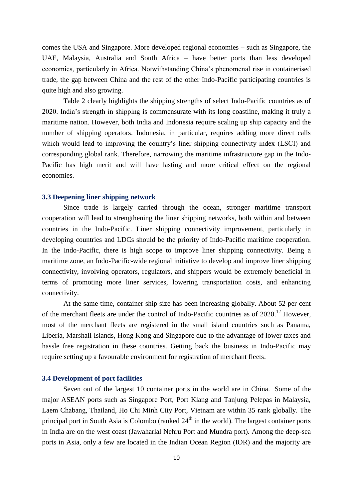comes the USA and Singapore. More developed regional economies – such as Singapore, the UAE, Malaysia, Australia and South Africa – have better ports than less developed economies, particularly in Africa. Notwithstanding China's phenomenal rise in containerised trade, the gap between China and the rest of the other Indo-Pacific participating countries is quite high and also growing.

Table 2 clearly highlights the shipping strengths of select Indo-Pacific countries as of 2020. India's strength in shipping is commensurate with its long coastline, making it truly a maritime nation. However, both India and Indonesia require scaling up ship capacity and the number of shipping operators. Indonesia, in particular, requires adding more direct calls which would lead to improving the country's liner shipping connectivity index (LSCI) and corresponding global rank. Therefore, narrowing the maritime infrastructure gap in the Indo-Pacific has high merit and will have lasting and more critical effect on the regional economies.

#### **3.3 Deepening liner shipping network**

Since trade is largely carried through the ocean, stronger maritime transport cooperation will lead to strengthening the liner shipping networks, both within and between countries in the Indo-Pacific. Liner shipping connectivity improvement, particularly in developing countries and LDCs should be the priority of Indo-Pacific maritime cooperation. In the Indo-Pacific, there is high scope to improve liner shipping connectivity. Being a maritime zone, an Indo-Pacific-wide regional initiative to develop and improve liner shipping connectivity, involving operators, regulators, and shippers would be extremely beneficial in terms of promoting more liner services, lowering transportation costs, and enhancing connectivity.

At the same time, container ship size has been increasing globally. About 52 per cent of the merchant fleets are under the control of Indo-Pacific countries as of  $2020$ .<sup>12</sup> However, most of the merchant fleets are registered in the small island countries such as Panama, Liberia, Marshall Islands, Hong Kong and Singapore due to the advantage of lower taxes and hassle free registration in these countries. Getting back the business in Indo-Pacific may require setting up a favourable environment for registration of merchant fleets.

#### **3.4 Development of port facilities**

Seven out of the largest 10 container ports in the world are in China. Some of the major ASEAN ports such as Singapore Port, Port Klang and Tanjung Pelepas in Malaysia, Laem Chabang, Thailand, Ho Chi Minh City Port, Vietnam are within 35 rank globally. The principal port in South Asia is Colombo (ranked  $24<sup>th</sup>$  in the world). The largest container ports in India are on the west coast (Jawaharlal Nehru Port and Mundra port). Among the deep-sea ports in Asia, only a few are located in the Indian Ocean Region (IOR) and the majority are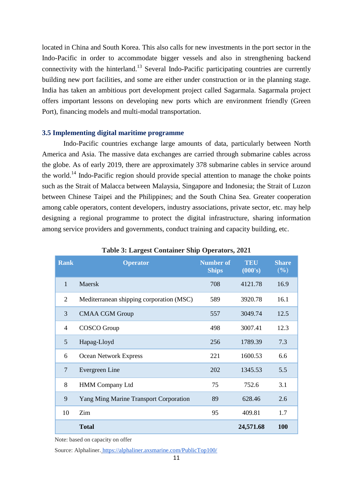located in China and South Korea. This also calls for new investments in the port sector in the Indo-Pacific in order to accommodate bigger vessels and also in strengthening backend connectivity with the hinterland.<sup>13</sup> Several Indo-Pacific participating countries are currently building new port facilities, and some are either under construction or in the planning stage. India has taken an ambitious port development project called Sagarmala. Sagarmala project offers important lessons on developing new ports which are environment friendly (Green Port), financing models and multi-modal transportation.

# **3.5 Implementing digital maritime programme**

Indo-Pacific countries exchange large amounts of data, particularly between North America and Asia. The massive data exchanges are carried through submarine cables across the globe. As of early 2019, there are approximately 378 submarine cables in service around the world.<sup>14</sup> Indo-Pacific region should provide special attention to manage the choke points such as the Strait of Malacca between Malaysia, Singapore and Indonesia; the Strait of Luzon between Chinese Taipei and the Philippines; and the South China Sea. Greater cooperation among cable operators, content developers, industry associations, private sector, etc. may help designing a regional programme to protect the digital infrastructure, sharing information among service providers and governments, conduct training and capacity building, etc.

| <b>Rank</b>    | <b>Operator</b>                               | <b>Number of</b><br><b>Ships</b> | <b>TEU</b><br>(000's) | <b>Share</b><br>(%) |
|----------------|-----------------------------------------------|----------------------------------|-----------------------|---------------------|
| $\mathbf{1}$   | Maersk                                        | 708                              | 4121.78               | 16.9                |
| 2              | Mediterranean shipping corporation (MSC)      | 589                              | 3920.78               | 16.1                |
| 3              | <b>CMAA CGM Group</b>                         | 557                              | 3049.74               | 12.5                |
| $\overline{4}$ | COSCO Group                                   | 498                              | 3007.41               | 12.3                |
| 5              | Hapag-Lloyd                                   | 256                              | 1789.39               | 7.3                 |
| 6              | <b>Ocean Network Express</b>                  | 221                              | 1600.53               | 6.6                 |
| 7              | Evergreen Line                                | 202                              | 1345.53               | 5.5                 |
| 8              | <b>HMM Company Ltd</b>                        | 75                               | 752.6                 | 3.1                 |
| 9              | <b>Yang Ming Marine Transport Corporation</b> | 89                               | 628.46                | 2.6                 |
| 10             | Zim                                           | 95                               | 409.81                | 1.7                 |
|                | <b>Total</b>                                  |                                  | 24,571.68             | <b>100</b>          |

**Table 3: Largest Container Ship Operators, 2021**

Note: based on capacity on offer

Source: Alphaliner. <https://alphaliner.axsmarine.com/PublicTop100/>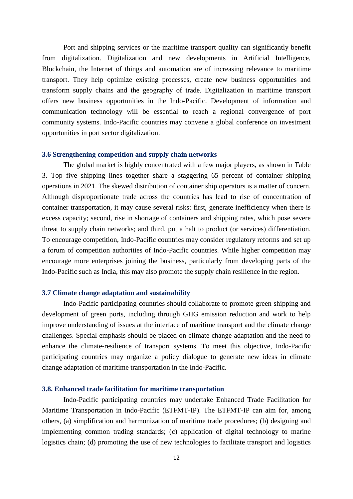Port and shipping services or the maritime transport quality can significantly benefit from digitalization. Digitalization and new developments in Artificial Intelligence, Blockchain, the Internet of things and automation are of increasing relevance to maritime transport. They help optimize existing processes, create new business opportunities and transform supply chains and the geography of trade. Digitalization in maritime transport offers new business opportunities in the Indo-Pacific. Development of information and communication technology will be essential to reach a regional convergence of port community systems. Indo-Pacific countries may convene a global conference on investment opportunities in port sector digitalization.

#### **3.6 Strengthening competition and supply chain networks**

The global market is highly concentrated with a few major players, as shown in Table 3. Top five shipping lines together share a staggering 65 percent of container shipping operations in 2021. The skewed distribution of container ship operators is a matter of concern. Although disproportionate trade across the countries has lead to rise of concentration of container transportation, it may cause several risks: first, generate inefficiency when there is excess capacity; second, rise in shortage of containers and shipping rates, which pose severe threat to supply chain networks; and third, put a halt to product (or services) differentiation. To encourage competition, Indo-Pacific countries may consider regulatory reforms and set up a forum of competition authorities of Indo-Pacific countries. While higher competition may encourage more enterprises joining the business, particularly from developing parts of the Indo-Pacific such as India, this may also promote the supply chain resilience in the region.

#### **3.7 Climate change adaptation and sustainability**

Indo-Pacific participating countries should collaborate to promote green shipping and development of green ports, including through GHG emission reduction and work to help improve understanding of issues at the interface of maritime transport and the climate change challenges. Special emphasis should be placed on climate change adaptation and the need to enhance the climate-resilience of transport systems. To meet this objective, Indo-Pacific participating countries may organize a policy dialogue to generate new ideas in climate change adaptation of maritime transportation in the Indo-Pacific.

#### **3.8. Enhanced trade facilitation for maritime transportation**

Indo-Pacific participating countries may undertake Enhanced Trade Facilitation for Maritime Transportation in Indo-Pacific (ETFMT-IP). The ETFMT-IP can aim for, among others, (a) simplification and harmonization of maritime trade procedures; (b) designing and implementing common trading standards; (c) application of digital technology to marine logistics chain; (d) promoting the use of new technologies to facilitate transport and logistics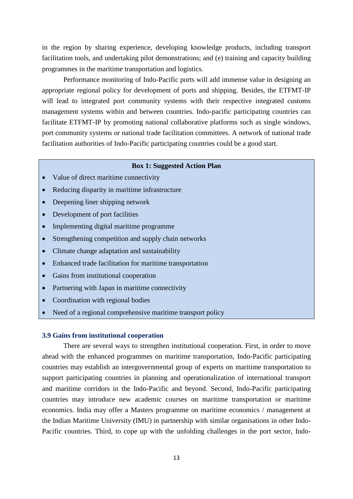in the region by sharing experience, developing knowledge products, including transport facilitation tools, and undertaking pilot demonstrations; and (e) training and capacity building programmes in the maritime transportation and logistics.

Performance monitoring of Indo-Pacific ports will add immense value in designing an appropriate regional policy for development of ports and shipping. Besides, the ETFMT-IP will lead to integrated port community systems with their respective integrated customs management systems within and between countries. Indo-pacific participating countries can facilitate ETFMT-IP by promoting national collaborative platforms such as single windows, port community systems or national trade facilitation committees. A network of national trade facilitation authorities of Indo-Pacific participating countries could be a good start.

#### **Box 1: Suggested Action Plan**

- Value of direct maritime connectivity
- Reducing disparity in maritime infrastructure
- Deepening liner shipping network
- Development of port facilities
- Implementing digital maritime programme
- Strengthening competition and supply chain networks
- Climate change adaptation and sustainability
- Enhanced trade facilitation for maritime transportation
- Gains from institutional cooperation
- Partnering with Japan in maritime connectivity
- Coordination with regional bodies
- Need of a regional comprehensive maritime transport policy

#### **3.9 Gains from institutional cooperation**

There are several ways to strengthen institutional cooperation. First, in order to move ahead with the enhanced programmes on maritime transportation, Indo-Pacific participating countries may establish an intergovernmental group of experts on maritime transportation to support participating countries in planning and operationalization of international transport and maritime corridors in the Indo-Pacific and beyond. Second, Indo-Pacific participating countries may introduce new academic courses on maritime transportation or maritime economics. India may offer a Masters programme on maritime economics / management at the Indian Maritime University (IMU) in partnership with similar organisations in other Indo-Pacific countries. Third, to cope up with the unfolding challenges in the port sector, Indo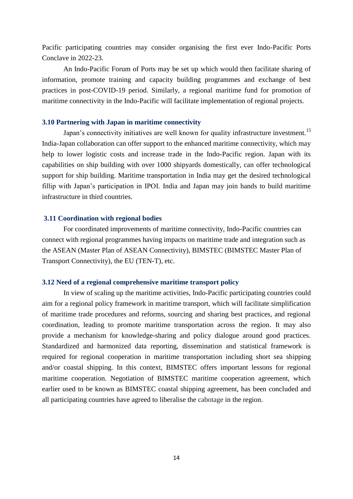Pacific participating countries may consider organising the first ever Indo-Pacific Ports Conclave in 2022-23.

An Indo-Pacific Forum of Ports may be set up which would then facilitate sharing of information, promote training and capacity building programmes and exchange of best practices in post-COVID-19 period. Similarly, a regional maritime fund for promotion of maritime connectivity in the Indo-Pacific will facilitate implementation of regional projects.

### **3.10 Partnering with Japan in maritime connectivity**

Japan's connectivity initiatives are well known for quality infrastructure investment.<sup>15</sup> India-Japan collaboration can offer support to the enhanced maritime connectivity, which may help to lower logistic costs and increase trade in the Indo-Pacific region. Japan with its capabilities on ship building with over 1000 shipyards domestically, can offer technological support for ship building. Maritime transportation in India may get the desired technological fillip with Japan's participation in IPOI. India and Japan may join hands to build maritime infrastructure in third countries.

# **3.11 Coordination with regional bodies**

For coordinated improvements of maritime connectivity, Indo-Pacific countries can connect with regional programmes having impacts on maritime trade and integration such as the ASEAN (Master Plan of ASEAN Connectivity), BIMSTEC (BIMSTEC Master Plan of Transport Connectivity), the EU (TEN-T), etc.

#### **3.12 Need of a regional comprehensive maritime transport policy**

In view of scaling up the maritime activities, Indo-Pacific participating countries could aim for a regional policy framework in maritime transport, which will facilitate simplification of maritime trade procedures and reforms, sourcing and sharing best practices, and regional coordination, leading to promote maritime transportation across the region. It may also provide a mechanism for knowledge-sharing and policy dialogue around good practices. Standardized and harmonized data reporting, dissemination and statistical framework is required for regional cooperation in maritime transportation including short sea shipping and/or coastal shipping. In this context, BIMSTEC offers important lessons for regional maritime cooperation. Negotiation of BIMSTEC maritime cooperation agreement, which earlier used to be known as BIMSTEC coastal shipping agreement, has been concluded and all participating countries have agreed to liberalise the cabotage in the region.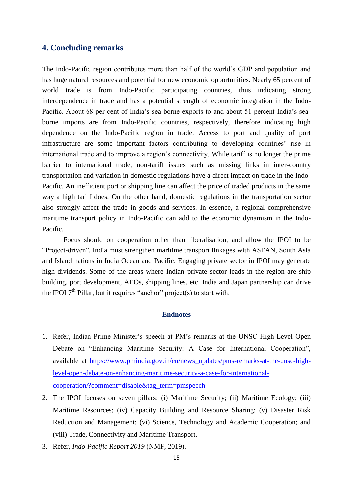# **4. Concluding remarks**

The Indo-Pacific region contributes more than half of the world's GDP and population and has huge natural resources and potential for new economic opportunities. Nearly 65 percent of world trade is from Indo-Pacific participating countries, thus indicating strong interdependence in trade and has a potential strength of economic integration in the Indo-Pacific. About 68 per cent of India's sea-borne exports to and about 51 percent India's seaborne imports are from Indo-Pacific countries, respectively, therefore indicating high dependence on the Indo-Pacific region in trade. Access to port and quality of port infrastructure are some important factors contributing to developing countries' rise in international trade and to improve a region's connectivity. While tariff is no longer the prime barrier to international trade, non-tariff issues such as missing links in inter-country transportation and variation in domestic regulations have a direct impact on trade in the Indo-Pacific. An inefficient port or shipping line can affect the price of traded products in the same way a high tariff does. On the other hand, domestic regulations in the transportation sector also strongly affect the trade in goods and services. In essence, a regional comprehensive maritime transport policy in Indo-Pacific can add to the economic dynamism in the Indo-Pacific.

Focus should on cooperation other than liberalisation, and allow the IPOI to be "Project-driven". India must strengthen maritime transport linkages with ASEAN, South Asia and Island nations in India Ocean and Pacific. Engaging private sector in IPOI may generate high dividends. Some of the areas where Indian private sector leads in the region are ship building, port development, AEOs, shipping lines, etc. India and Japan partnership can drive the IPOI  $7<sup>th</sup>$  Pillar, but it requires "anchor" project(s) to start with.

#### **Endnotes**

- 1. Refer, Indian Prime Minister's speech at PM's remarks at the UNSC High-Level Open Debate on "Enhancing Maritime Security: A Case for International Cooperation", available at [https://www.pmindia.gov.in/en/news\\_updates/pms-remarks-at-the-unsc-high](https://www.pmindia.gov.in/en/news_updates/pms-remarks-at-the-unsc-high-level-open-debate-on-enhancing-maritime-security-a-case-for-international-cooperation/?comment=disable&tag_term=pmspeech)[level-open-debate-on-enhancing-maritime-security-a-case-for-international](https://www.pmindia.gov.in/en/news_updates/pms-remarks-at-the-unsc-high-level-open-debate-on-enhancing-maritime-security-a-case-for-international-cooperation/?comment=disable&tag_term=pmspeech)[cooperation/?comment=disable&tag\\_term=pmspeech](https://www.pmindia.gov.in/en/news_updates/pms-remarks-at-the-unsc-high-level-open-debate-on-enhancing-maritime-security-a-case-for-international-cooperation/?comment=disable&tag_term=pmspeech)
- 2. The IPOI focuses on seven pillars: (i) Maritime Security; (ii) Maritime Ecology; (iii) Maritime Resources; (iv) Capacity Building and Resource Sharing; (v) Disaster Risk Reduction and Management; (vi) Science, Technology and Academic Cooperation; and (viii) Trade, Connectivity and Maritime Transport.
- 3. Refer, *Indo-Pacific Report 2019* (NMF, 2019).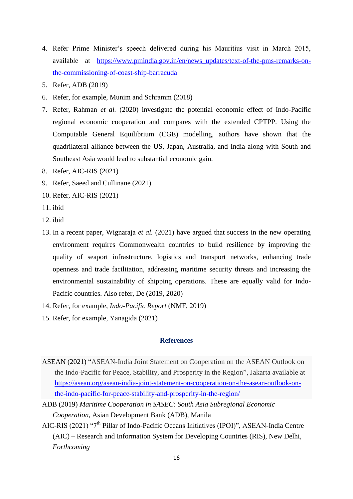- 4. Refer Prime Minister's speech delivered during his Mauritius visit in March 2015, available at [https://www.pmindia.gov.in/en/news\\_updates/text-of-the-pms-remarks-on](https://www.pmindia.gov.in/en/news_updates/text-of-the-pms-remarks-on-the-commissioning-of-coast-ship-barracuda)[the-commissioning-of-coast-ship-barracuda](https://www.pmindia.gov.in/en/news_updates/text-of-the-pms-remarks-on-the-commissioning-of-coast-ship-barracuda)
- 5. Refer, ADB (2019)
- 6. Refer, for example, Munim and Schramm (2018)
- 7. Refer, Rahman *et al.* (2020) investigate the potential economic effect of Indo-Pacific regional economic cooperation and compares with the extended CPTPP. Using the Computable General Equilibrium (CGE) modelling, authors have shown that the quadrilateral alliance between the US, Japan, Australia, and India along with South and Southeast Asia would lead to substantial economic gain.
- 8. Refer, AIC-RIS (2021)
- 9. Refer, Saeed and Cullinane (2021)
- 10. Refer, AIC-RIS (2021)
- 11. ibid
- 12. ibid
- 13. In a recent paper, Wignaraja *et al.* (2021) have argued that success in the new operating environment requires Commonwealth countries to build resilience by improving the quality of seaport infrastructure, logistics and transport networks, enhancing trade openness and trade facilitation, addressing maritime security threats and increasing the environmental sustainability of shipping operations. These are equally valid for Indo-Pacific countries. Also refer, De (2019, 2020)
- 14. Refer, for example, *Indo-Pacific Report* (NMF, 2019)
- 15. Refer, for example, Yanagida (2021)

# **References**

- ASEAN (2021) "ASEAN-India Joint Statement on Cooperation on the ASEAN Outlook on the Indo-Pacific for Peace, Stability, and Prosperity in the Region", Jakarta available at [https://asean.org/asean-india-joint-statement-on-cooperation-on-the-asean-outlook-on](https://asean.org/asean-india-joint-statement-on-cooperation-on-the-asean-outlook-on-the-indo-pacific-for-peace-stability-and-prosperity-in-the-region/)[the-indo-pacific-for-peace-stability-and-prosperity-in-the-region/](https://asean.org/asean-india-joint-statement-on-cooperation-on-the-asean-outlook-on-the-indo-pacific-for-peace-stability-and-prosperity-in-the-region/)
- ADB (2019) *Maritime Cooperation in SASEC: South Asia Subregional Economic Cooperation*, Asian Development Bank (ADB), Manila
- AIC-RIS (2021) "7<sup>th</sup> Pillar of Indo-Pacific Oceans Initiatives (IPOI)", ASEAN-India Centre (AIC) – Research and Information System for Developing Countries (RIS), New Delhi, *Forthcoming*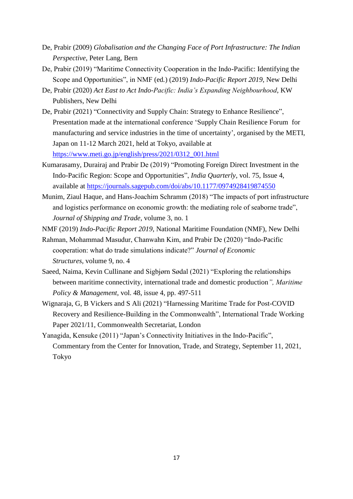- De, Prabir (2009) *Globalisation and the Changing Face of Port Infrastructure: The Indian Perspective*, Peter Lang, Bern
- De, Prabir (2019) "Maritime Connectivity Cooperation in the Indo-Pacific: Identifying the Scope and Opportunities", in NMF (ed*.*) (2019) *Indo-Pacific Report 2019*, New Delhi
- De, Prabir (2020) *Act East to Act Indo-Pacific: India's Expanding Neighbourhood*, KW Publishers, New Delhi
- De, Prabir (2021) "Connectivity and Supply Chain: Strategy to Enhance Resilience", Presentation made at the international conference 'Supply Chain Resilience Forum for manufacturing and service industries in the time of uncertainty', organised by the METI, Japan on 11-12 March 2021, held at Tokyo, available at [https://www.meti.go.jp/english/press/2021/0312\\_001.html](https://www.meti.go.jp/english/press/2021/0312_001.html)
- Kumarasamy, Durairaj and Prabir De (2019) "Promoting Foreign Direct Investment in the Indo-Pacific Region: Scope and Opportunities", *India Quarterly*, vol. 75, Issue 4, available at<https://journals.sagepub.com/doi/abs/10.1177/0974928419874550>
- Munim, Ziaul Haque, and Hans-Joachim Schramm (2018) "The impacts of port infrastructure and logistics performance on economic growth: the mediating role of seaborne trade", *Journal of Shipping and Trade*, volume 3, no. 1
- NMF (2019) *Indo-Pacific Report 2019*, National Maritime Foundation (NMF), New Delhi
- Rahman, Mohammad Masudur, Chanwahn Kim, and Prabir De (2020) "Indo-Pacific cooperation: what do trade simulations indicate?" *Journal of Economic Structures*, volume 9, no. 4
- Saeed, Naima, Kevin Cullinane and Sigbjørn Sødal (2021) "Exploring the relationships between maritime connectivity, international trade and domestic production*", Maritime Policy & Management*, vol. 48, issue 4, pp. 497-511
- Wignaraja, G, B Vickers and S Ali (2021) "Harnessing Maritime Trade for Post-COVID Recovery and Resilience-Building in the Commonwealth", International Trade Working Paper 2021/11, Commonwealth Secretariat, London
- Yanagida, Kensuke (2011) "Japan's Connectivity Initiatives in the Indo-Pacific", Commentary from the Center for Innovation, Trade, and Strategy, September 11, 2021, Tokyo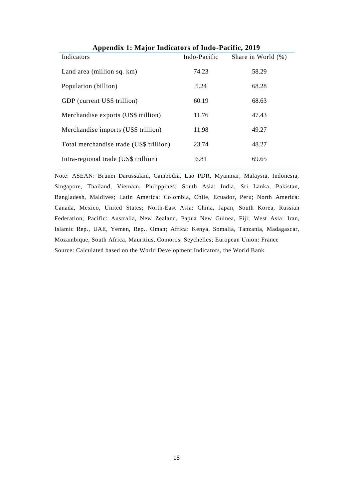| $\mathbf{F}$ , and $\mathbf{F}$ and $\mathbf{F}$ are the set of $\mathbf{F}$ and $\mathbf{F}$ are the set of $\mathbf{F}$ |              |                       |  |  |
|---------------------------------------------------------------------------------------------------------------------------|--------------|-----------------------|--|--|
| Indicators                                                                                                                | Indo-Pacific | Share in World $(\%)$ |  |  |
| Land area (million sq. km)                                                                                                | 74.23        | 58.29                 |  |  |
| Population (billion)                                                                                                      | 5.24         | 68.28                 |  |  |
| GDP (current US\$ trillion)                                                                                               | 60.19        | 68.63                 |  |  |
| Merchandise exports (US\$ trillion)                                                                                       | 11.76        | 47.43                 |  |  |
| Merchandise imports (US\$ trillion)                                                                                       | 11.98        | 49.27                 |  |  |
| Total merchandise trade (US\$ trillion)                                                                                   | 23.74        | 48.27                 |  |  |
| Intra-regional trade (US\$ trillion)                                                                                      | 6.81         | 69.65                 |  |  |

**Appendix 1: Major Indicators of Indo-Pacific, 2019**

Note: ASEAN: Brunei Darussalam, Cambodia, Lao PDR, Myanmar, Malaysia, Indonesia, Singapore, Thailand, Vietnam, Philippines; South Asia: India, Sri Lanka, Pakistan, Bangladesh, Maldives; Latin America: Colombia, Chile, Ecuador, Peru; North America: Canada, Mexico, United States; North-East Asia: China, Japan, South Korea, Russian Federation; Pacific: Australia, New Zealand, Papua New Guinea, Fiji; West Asia: Iran, Islamic Rep., UAE, Yemen, Rep., Oman; Africa: Kenya, Somalia, Tanzania, Madagascar, Mozambique, South Africa, Mauritius, Comoros, Seychelles; European Union: France Source: Calculated based on the World Development Indicators, the World Bank